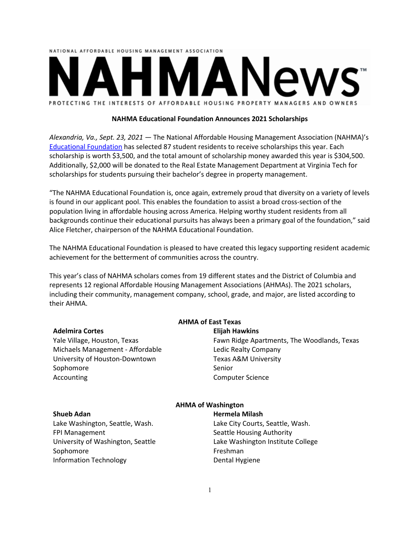# NATIONAL AFFORDABLE HOUSING MANAGEMENT ASSOCIATION PROTECTING THE INTERESTS OF AFFORDABLE HOUSING PROPERTY MANAGERS AND OWNERS

# **NAHMA Educational Foundation Announces 2021 Scholarships**

*Alexandria, Va., Sept. 23, 2021 ―* The National Affordable Housing Management Association (NAHMA)'s [Educational Foundation](https://www.nahma.org/about/educational-foundation/) has selected 87 student residents to receive scholarships this year. Each scholarship is worth \$3,500, and the total amount of scholarship money awarded this year is \$304,500. Additionally, \$2,000 will be donated to the Real Estate Management Department at Virginia Tech for scholarships for students pursuing their bachelor's degree in property management.

"The NAHMA Educational Foundation is, once again, extremely proud that diversity on a variety of levels is found in our applicant pool. This enables the foundation to assist a broad cross-section of the population living in affordable housing across America. Helping worthy student residents from all backgrounds continue their educational pursuits has always been a primary goal of the foundation," said Alice Fletcher, chairperson of the NAHMA Educational Foundation.

The NAHMA Educational Foundation is pleased to have created this legacy supporting resident academic achievement for the betterment of communities across the country.

This year's class of NAHMA scholars comes from 19 different states and the District of Columbia and represents 12 regional Affordable Housing Management Associations (AHMAs). The 2021 scholars, including their community, management company, school, grade, and major, are listed according to their AHMA.

#### **Adelmira Cortes**

Yale Village, Houston, Texas Michaels Management - Affordable University of Houston-Downtown Sophomore Accounting

# **AHMA of East Texas**

#### **Elijah Hawkins**

Fawn Ridge Apartments, The Woodlands, Texas Ledic Realty Company Texas A&M University Senior Computer Science

# **Shueb Adan**

Lake Washington, Seattle, Wash. FPI Management University of Washington, Seattle Sophomore Information Technology

# **AHMA of Washington**

**Hermela Milash**

Lake City Courts, Seattle, Wash. Seattle Housing Authority Lake Washington Institute College Freshman Dental Hygiene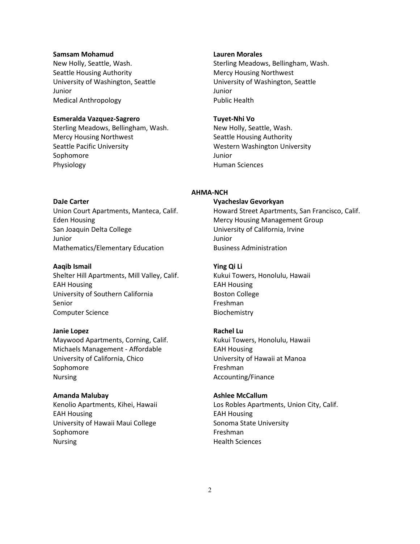#### **Samsam Mohamud**

New Holly, Seattle, Wash. Seattle Housing Authority University of Washington, Seattle Junior Medical Anthropology

# **Esmeralda Vazquez-Sagrero**

Sterling Meadows, Bellingham, Wash. Mercy Housing Northwest Seattle Pacific University Sophomore Physiology

#### **Lauren Morales**

Sterling Meadows, Bellingham, Wash. Mercy Housing Northwest University of Washington, Seattle Junior Public Health

#### **Tuyet-Nhi Vo**

New Holly, Seattle, Wash. Seattle Housing Authority Western Washington University Junior Human Sciences

#### **AHMA-NCH**

#### **Vyacheslav Gevorkyan**

Howard Street Apartments, San Francisco, Calif. Mercy Housing Management Group University of California, Irvine Junior Business Administration

#### **Ying Qi Li**

Kukui Towers, Honolulu, Hawaii EAH Housing Boston College Freshman Biochemistry

#### **Rachel Lu**

Kukui Towers, Honolulu, Hawaii EAH Housing University of Hawaii at Manoa Freshman Accounting/Finance

#### **Ashlee McCallum**

Los Robles Apartments, Union City, Calif. EAH Housing Sonoma State University Freshman Health Sciences

#### **DaJe Carter**

Union Court Apartments, Manteca, Calif. Eden Housing San Joaquin Delta College Junior Mathematics/Elementary Education

#### **Aaqib Ismail**

Shelter Hill Apartments, Mill Valley, Calif. EAH Housing University of Southern California Senior Computer Science

#### **Janie Lopez**

Maywood Apartments, Corning, Calif. Michaels Management - Affordable University of California, Chico Sophomore Nursing

#### **Amanda Malubay**

Kenolio Apartments, Kihei, Hawaii EAH Housing University of Hawaii Maui College Sophomore Nursing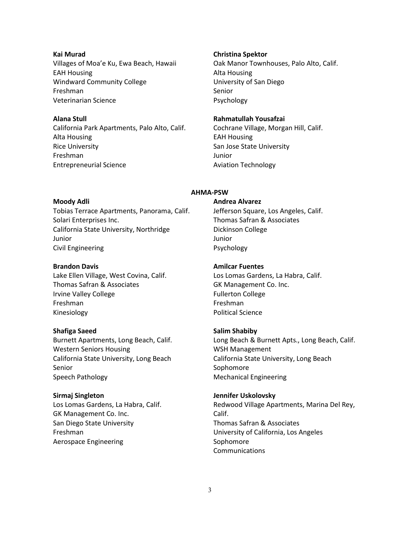# **Kai Murad** Villages of Moa'e Ku, Ewa Beach, Hawaii EAH Housing Windward Community College Freshman Veterinarian Science

# **Alana Stull**

California Park Apartments, Palo Alto, Calif. Alta Housing Rice University Freshman Entrepreneurial Science

# **Christina Spektor**

Oak Manor Townhouses, Palo Alto, Calif. Alta Housing University of San Diego Senior Psychology

# **Rahmatullah Yousafzai**

Cochrane Village, Morgan Hill, Calif. EAH Housing San Jose State University Junior Aviation Technology

#### **Moody Adli**

Tobias Terrace Apartments, Panorama, Calif. Solari Enterprises Inc. California State University, Northridge Junior Civil Engineering

#### **Brandon Davis**

Lake Ellen Village, West Covina, Calif. Thomas Safran & Associates Irvine Valley College Freshman Kinesiology

# **Shafiga Saeed**

Burnett Apartments, Long Beach, Calif. Western Seniors Housing California State University, Long Beach Senior Speech Pathology

#### **Sirmaj Singleton**

Los Lomas Gardens, La Habra, Calif. GK Management Co. Inc. San Diego State University Freshman Aerospace Engineering

# **Andrea Alvarez**

**AHMA-PSW**

Jefferson Square, Los Angeles, Calif. Thomas Safran & Associates Dickinson College Junior Psychology

#### **Amilcar Fuentes**

Los Lomas Gardens, La Habra, Calif. GK Management Co. Inc. Fullerton College Freshman Political Science

### **Salim Shabiby**

Long Beach & Burnett Apts., Long Beach, Calif. WSH Management California State University, Long Beach Sophomore Mechanical Engineering

#### **Jennifer Uskolovsky**

Redwood Village Apartments, Marina Del Rey, Calif. Thomas Safran & Associates University of California, Los Angeles Sophomore **Communications**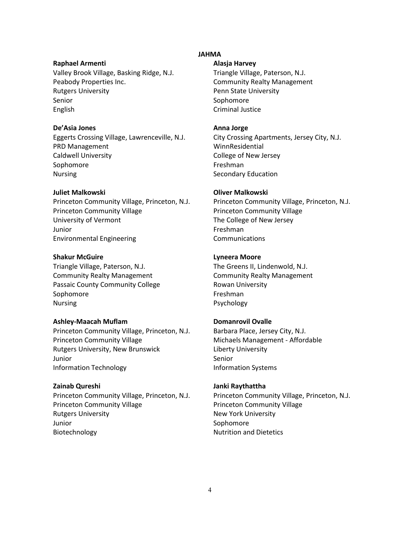# **Raphael Armenti**

Valley Brook Village, Basking Ridge, N.J. Peabody Properties Inc. Rutgers University Senior English

#### **De'Asia Jones**

Eggerts Crossing Village, Lawrenceville, N.J. PRD Management Caldwell University Sophomore Nursing

# **Juliet Malkowski**

Princeton Community Village, Princeton, N.J. Princeton Community Village University of Vermont Junior Environmental Engineering

# **Shakur McGuire**

Triangle Village, Paterson, N.J. Community Realty Management Passaic County Community College Sophomore Nursing

#### **Ashley-Maacah Muflam**

Princeton Community Village, Princeton, N.J. Princeton Community Village Rutgers University, New Brunswick Junior Information Technology

# **Zainab Qureshi**

Princeton Community Village, Princeton, N.J. Princeton Community Village Rutgers University Junior Biotechnology

#### **JAHMA**

#### **Alasja Harvey**

Triangle Village, Paterson, N.J. Community Realty Management Penn State University Sophomore Criminal Justice

#### **Anna Jorge**

City Crossing Apartments, Jersey City, N.J. WinnResidential College of New Jersey Freshman Secondary Education

#### **Oliver Malkowski**

Princeton Community Village, Princeton, N.J. Princeton Community Village The College of New Jersey Freshman Communications

#### **Lyneera Moore**

The Greens II, Lindenwold, N.J. Community Realty Management Rowan University Freshman Psychology

# **Domanrovil Ovalle**

Barbara Place, Jersey City, N.J. Michaels Management - Affordable Liberty University Senior Information Systems

#### **Janki Raythattha**

Princeton Community Village, Princeton, N.J. Princeton Community Village New York University Sophomore Nutrition and Dietetics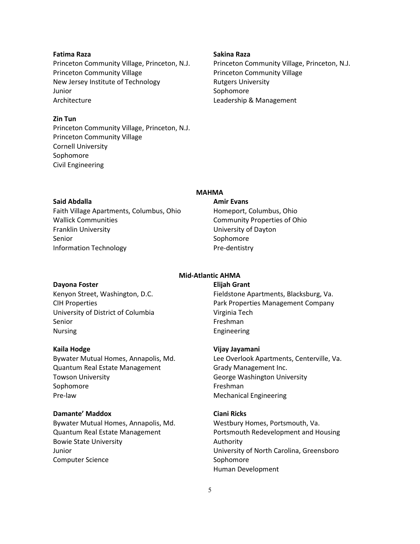# **Fatima Raza**

Princeton Community Village, Princeton, N.J. Princeton Community Village New Jersey Institute of Technology Junior Architecture

# **Zin Tun**

Princeton Community Village, Princeton, N.J. Princeton Community Village Cornell University Sophomore Civil Engineering

#### **Sakina Raza**

Princeton Community Village, Princeton, N.J. Princeton Community Village Rutgers University Sophomore Leadership & Management

# **Said Abdalla**

Faith Village Apartments, Columbus, Ohio Wallick Communities Franklin University Senior Information Technology

# **MAHMA**

#### **Amir Evans**

Homeport, Columbus, Ohio Community Properties of Ohio University of Dayton Sophomore Pre-dentistry

# **Dayona Foster**

Kenyon Street, Washington, D.C. CIH Properties University of District of Columbia Senior Nursing

#### **Kaila Hodge**

Bywater Mutual Homes, Annapolis, Md. Quantum Real Estate Management Towson University Sophomore Pre-law

#### **Damante' Maddox**

Bywater Mutual Homes, Annapolis, Md. Quantum Real Estate Management Bowie State University Junior Computer Science

#### **Mid-Atlantic AHMA Elijah Grant**

Fieldstone Apartments, Blacksburg, Va. Park Properties Management Company Virginia Tech Freshman Engineering

#### **Vijay Jayamani**

Lee Overlook Apartments, Centerville, Va. Grady Management Inc. George Washington University Freshman Mechanical Engineering

#### **Ciani Ricks**

Westbury Homes, Portsmouth, Va. Portsmouth Redevelopment and Housing Authority University of North Carolina, Greensboro Sophomore Human Development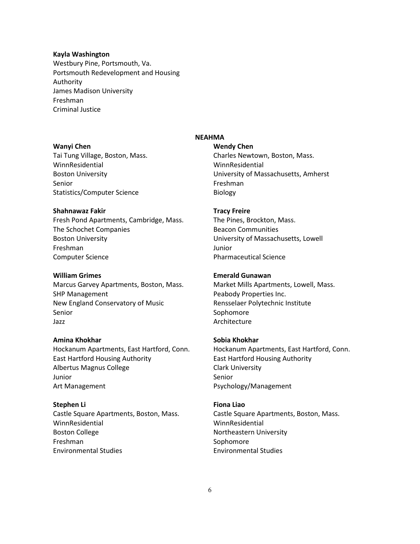#### **Kayla Washington**

Westbury Pine, Portsmouth, Va. Portsmouth Redevelopment and Housing Authority James Madison University Freshman Criminal Justice

#### **Wanyi Chen**

Tai Tung Village, Boston, Mass. WinnResidential Boston University Senior Statistics/Computer Science

#### **Shahnawaz Fakir**

Fresh Pond Apartments, Cambridge, Mass. The Schochet Companies Boston University Freshman Computer Science

#### **William Grimes**

Marcus Garvey Apartments, Boston, Mass. SHP Management New England Conservatory of Music Senior Jazz

# **Amina Khokhar**

Hockanum Apartments, East Hartford, Conn. East Hartford Housing Authority Albertus Magnus College Junior Art Management

**Stephen Li** Castle Square Apartments, Boston, Mass. WinnResidential Boston College Freshman Environmental Studies

# **NEAHMA**

**Wendy Chen** Charles Newtown, Boston, Mass. WinnResidential University of Massachusetts, Amherst Freshman Biology

#### **Tracy Freire**

The Pines, Brockton, Mass. Beacon Communities University of Massachusetts, Lowell Junior Pharmaceutical Science

#### **Emerald Gunawan**

Market Mills Apartments, Lowell, Mass. Peabody Properties Inc. Rensselaer Polytechnic Institute Sophomore Architecture

# **Sobia Khokhar**

Hockanum Apartments, East Hartford, Conn. East Hartford Housing Authority Clark University Senior Psychology/Management

#### **Fiona Liao**

Castle Square Apartments, Boston, Mass. WinnResidential Northeastern University Sophomore Environmental Studies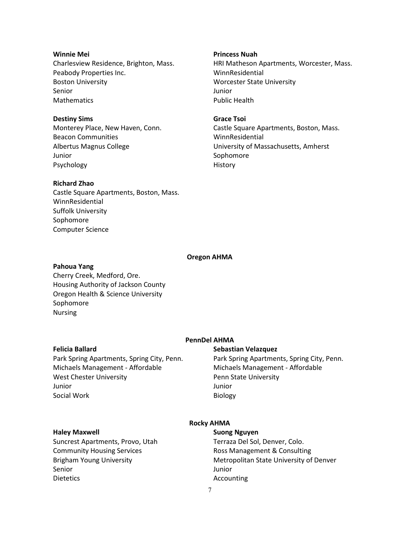# **Winnie Mei**

Charlesview Residence, Brighton, Mass. Peabody Properties Inc. Boston University Senior **Mathematics** 

# **Destiny Sims**

Monterey Place, New Haven, Conn. Beacon Communities Albertus Magnus College Junior Psychology

# **Richard Zhao**

Castle Square Apartments, Boston, Mass. WinnResidential Suffolk University Sophomore Computer Science

#### **Princess Nuah**

HRI Matheson Apartments, Worcester, Mass. WinnResidential Worcester State University Junior Public Health

# **Grace Tsoi**

Castle Square Apartments, Boston, Mass. WinnResidential University of Massachusetts, Amherst Sophomore History

#### **Oregon AHMA**

#### **Pahoua Yang**

Cherry Creek, Medford, Ore. Housing Authority of Jackson County Oregon Health & Science University Sophomore Nursing

#### **Felicia Ballard**

Park Spring Apartments, Spring City, Penn. Michaels Management - Affordable West Chester University Junior Social Work

# **PennDel AHMA**

# **Sebastian Velazquez**

Park Spring Apartments, Spring City, Penn. Michaels Management - Affordable Penn State University Junior Biology

#### **Haley Maxwell**

# **Rocky AHMA**

Suncrest Apartments, Provo, Utah Community Housing Services Brigham Young University Senior **Dietetics** 

# **Suong Nguyen**

Terraza Del Sol, Denver, Colo. Ross Management & Consulting Metropolitan State University of Denver Junior Accounting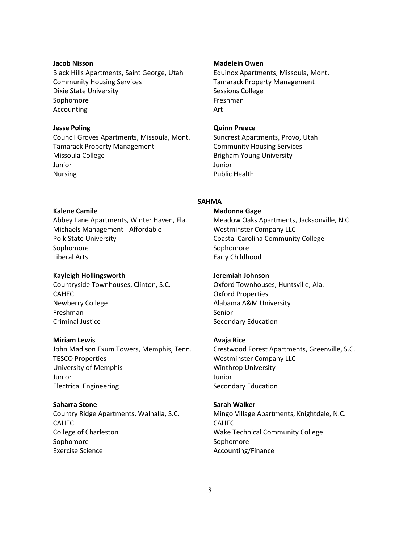#### **Jacob Nisson**

Black Hills Apartments, Saint George, Utah Community Housing Services Dixie State University Sophomore Accounting

# **Jesse Poling**

Council Groves Apartments, Missoula, Mont. Tamarack Property Management Missoula College Junior Nursing

#### **Madelein Owen**

Equinox Apartments, Missoula, Mont. Tamarack Property Management Sessions College Freshman Art

## **Quinn Preece**

Suncrest Apartments, Provo, Utah Community Housing Services Brigham Young University Junior Public Health

# **SAHMA**

#### **Kalene Camile**

Abbey Lane Apartments, Winter Haven, Fla. Michaels Management - Affordable Polk State University Sophomore Liberal Arts

#### **Kayleigh Hollingsworth**

Countryside Townhouses, Clinton, S.C. CAHEC Newberry College Freshman Criminal Justice

#### **Miriam Lewis**

John Madison Exum Towers, Memphis, Tenn. TESCO Properties University of Memphis Junior Electrical Engineering

#### **Saharra Stone**

Country Ridge Apartments, Walhalla, S.C. CAHEC College of Charleston Sophomore Exercise Science

#### **Madonna Gage**

Meadow Oaks Apartments, Jacksonville, N.C. Westminster Company LLC Coastal Carolina Community College Sophomore Early Childhood

#### **Jeremiah Johnson**

Oxford Townhouses, Huntsville, Ala. Oxford Properties Alabama A&M University Senior Secondary Education

#### **Avaja Rice**

Crestwood Forest Apartments, Greenville, S.C. Westminster Company LLC Winthrop University Junior Secondary Education

#### **Sarah Walker**

Mingo Village Apartments, Knightdale, N.C. CAHEC Wake Technical Community College Sophomore Accounting/Finance